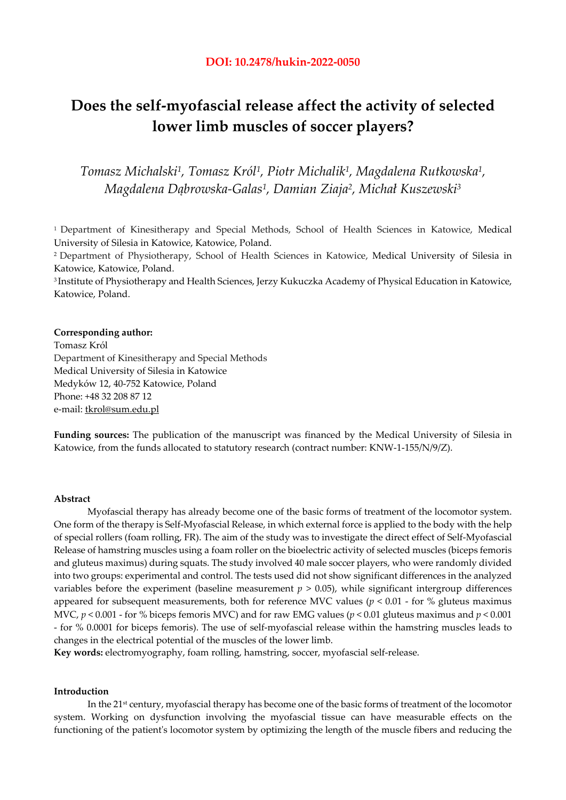# **Does the self-myofascial release affect the activity of selected lower limb muscles of soccer players?**

*Tomasz Michalski1, Tomasz Król1, Piotr Michalik1, Magdalena Rutkowska1, Magdalena Dąbrowska-Galas1, Damian Ziaja2, Michał Kuszewski3* 

<sup>1</sup> Department of Kinesitherapy and Special Methods, School of Health Sciences in Katowice, Medical University of Silesia in Katowice, Katowice, Poland.

2 Department of Physiotherapy, School of Health Sciences in Katowice, Medical University of Silesia in Katowice, Katowice, Poland.

3 Institute of Physiotherapy and Health Sciences, Jerzy Kukuczka Academy of Physical Education in Katowice, Katowice, Poland.

#### **Corresponding author:**

Tomasz Król Department of Kinesitherapy and Special Methods Medical University of Silesia in Katowice Medyków 12, 40-752 Katowice, Poland Phone: +48 32 208 87 12 e-mail: tkrol@sum.edu.pl

**Funding sources:** The publication of the manuscript was financed by the Medical University of Silesia in Katowice, from the funds allocated to statutory research (contract number: KNW-1-155/N/9/Z).

## **Abstract**

Myofascial therapy has already become one of the basic forms of treatment of the locomotor system. One form of the therapy is Self-Myofascial Release, in which external force is applied to the body with the help of special rollers (foam rolling, FR). The aim of the study was to investigate the direct effect of Self-Myofascial Release of hamstring muscles using a foam roller on the bioelectric activity of selected muscles (biceps femoris and gluteus maximus) during squats. The study involved 40 male soccer players, who were randomly divided into two groups: experimental and control. The tests used did not show significant differences in the analyzed variables before the experiment (baseline measurement  $p > 0.05$ ), while significant intergroup differences appeared for subsequent measurements, both for reference MVC values (*p* < 0.01 - for % gluteus maximus MVC, *p* < 0.001 - for % biceps femoris MVC) and for raw EMG values (*p* < 0.01 gluteus maximus and *p* < 0.001 - for % 0.0001 for biceps femoris). The use of self-myofascial release within the hamstring muscles leads to changes in the electrical potential of the muscles of the lower limb.

**Key words:** electromyography, foam rolling, hamstring, soccer, myofascial self-release.

## **Introduction**

In the 21st century, myofascial therapy has become one of the basic forms of treatment of the locomotor system. Working on dysfunction involving the myofascial tissue can have measurable effects on the functioning of the patient's locomotor system by optimizing the length of the muscle fibers and reducing the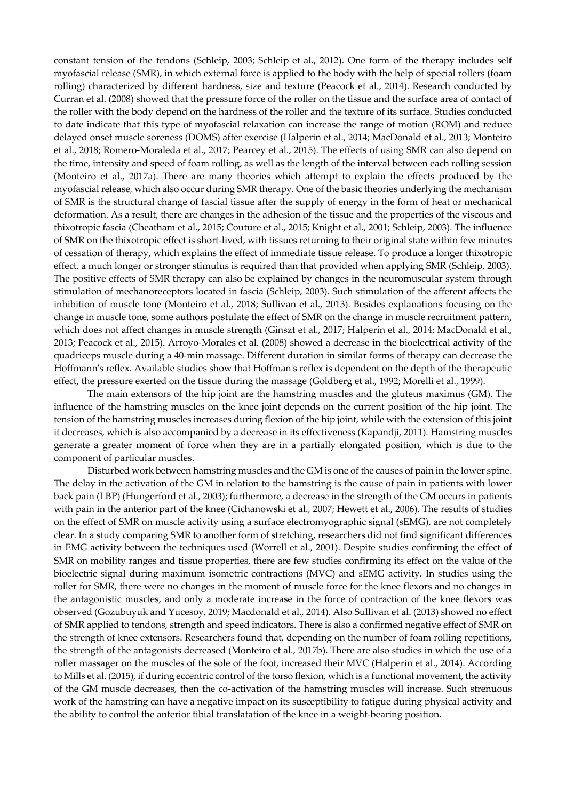constant tension of the tendons (Schleip, 2003; Schleip et al., 2012). One form of the therapy includes self myofascial release (SMR), in which external force is applied to the body with the help of special rollers (foam rolling) characterized by different hardness, size and texture (Peacock et al., 2014). Research conducted by Curran et al. (2008) showed that the pressure force of the roller on the tissue and the surface area of contact of the roller with the body depend on the hardness of the roller and the texture of its surface. Studies conducted to date indicate that this type of myofascial relaxation can increase the range of motion (ROM) and reduce delayed onset muscle soreness (DOMS) after exercise (Halperin et al., 2014; MacDonald et al., 2013; Monteiro et al., 2018; Romero-Moraleda et al., 2017; Pearcey et al., 2015). The effects of using SMR can also depend on the time, intensity and speed of foam rolling, as well as the length of the interval between each rolling session (Monteiro et al., 2017a). There are many theories which attempt to explain the effects produced by the myofascial release, which also occur during SMR therapy. One of the basic theories underlying the mechanism of SMR is the structural change of fascial tissue after the supply of energy in the form of heat or mechanical deformation. As a result, there are changes in the adhesion of the tissue and the properties of the viscous and thixotropic fascia (Cheatham et al., 2015; Couture et al., 2015; Knight et al., 2001; Schleip, 2003). The influence of SMR on the thixotropic effect is short-lived, with tissues returning to their original state within few minutes of cessation of therapy, which explains the effect of immediate tissue release. To produce a longer thixotropic effect, a much longer or stronger stimulus is required than that provided when applying SMR (Schleip, 2003). The positive effects of SMR therapy can also be explained by changes in the neuromuscular system through stimulation of mechanoreceptors located in fascia (Schleip, 2003). Such stimulation of the afferent affects the inhibition of muscle tone (Monteiro et al., 2018; Sullivan et al., 2013). Besides explanations focusing on the change in muscle tone, some authors postulate the effect of SMR on the change in muscle recruitment pattern, which does not affect changes in muscle strength (Ginszt et al., 2017; Halperin et al., 2014; MacDonald et al., 2013; Peacock et al., 2015). Arroyo-Morales et al. (2008) showed a decrease in the bioelectrical activity of the quadriceps muscle during a 40-min massage. Different duration in similar forms of therapy can decrease the Hoffmann's reflex. Available studies show that Hoffman's reflex is dependent on the depth of the therapeutic effect, the pressure exerted on the tissue during the massage (Goldberg et al., 1992; Morelli et al., 1999).

The main extensors of the hip joint are the hamstring muscles and the gluteus maximus (GM). The influence of the hamstring muscles on the knee joint depends on the current position of the hip joint. The tension of the hamstring muscles increases during flexion of the hip joint, while with the extension of this joint it decreases, which is also accompanied by a decrease in its effectiveness (Kapandji, 2011). Hamstring muscles generate a greater moment of force when they are in a partially elongated position, which is due to the component of particular muscles.

Disturbed work between hamstring muscles and the GM is one of the causes of pain in the lower spine. The delay in the activation of the GM in relation to the hamstring is the cause of pain in patients with lower back pain (LBP) (Hungerford et al., 2003); furthermore, a decrease in the strength of the GM occurs in patients with pain in the anterior part of the knee (Cichanowski et al., 2007; Hewett et al., 2006). The results of studies on the effect of SMR on muscle activity using a surface electromyographic signal (sEMG), are not completely clear. In a study comparing SMR to another form of stretching, researchers did not find significant differences in EMG activity between the techniques used (Worrell et al., 2001). Despite studies confirming the effect of SMR on mobility ranges and tissue properties, there are few studies confirming its effect on the value of the bioelectric signal during maximum isometric contractions (MVC) and sEMG activity. In studies using the roller for SMR, there were no changes in the moment of muscle force for the knee flexors and no changes in the antagonistic muscles, and only a moderate increase in the force of contraction of the knee flexors was observed (Gozubuyuk and Yucesoy, 2019; Macdonald et al., 2014). Also Sullivan et al. (2013) showed no effect of SMR applied to tendons, strength and speed indicators. There is also a confirmed negative effect of SMR on the strength of knee extensors. Researchers found that, depending on the number of foam rolling repetitions, the strength of the antagonists decreased (Monteiro et al., 2017b). There are also studies in which the use of a roller massager on the muscles of the sole of the foot, increased their MVC (Halperin et al., 2014). According to Mills et al. (2015), if during eccentric control of the torso flexion, which is a functional movement, the activity of the GM muscle decreases, then the co-activation of the hamstring muscles will increase. Such strenuous work of the hamstring can have a negative impact on its susceptibility to fatigue during physical activity and the ability to control the anterior tibial translatation of the knee in a weight-bearing position.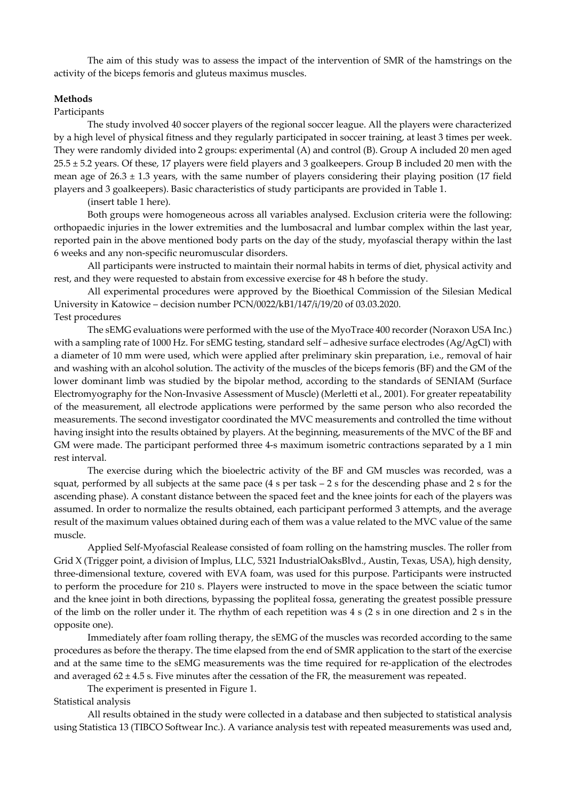The aim of this study was to assess the impact of the intervention of SMR of the hamstrings on the activity of the biceps femoris and gluteus maximus muscles.

# **Methods**

#### Participants

The study involved 40 soccer players of the regional soccer league. All the players were characterized by a high level of physical fitness and they regularly participated in soccer training, at least 3 times per week. They were randomly divided into 2 groups: experimental (A) and control (B). Group A included 20 men aged 25.5 ± 5.2 years. Of these, 17 players were field players and 3 goalkeepers. Group B included 20 men with the mean age of  $26.3 \pm 1.3$  years, with the same number of players considering their playing position (17 field players and 3 goalkeepers). Basic characteristics of study participants are provided in Table 1.

(insert table 1 here).

Both groups were homogeneous across all variables analysed. Exclusion criteria were the following: orthopaedic injuries in the lower extremities and the lumbosacral and lumbar complex within the last year, reported pain in the above mentioned body parts on the day of the study, myofascial therapy within the last 6 weeks and any non-specific neuromuscular disorders.

All participants were instructed to maintain their normal habits in terms of diet, physical activity and rest, and they were requested to abstain from excessive exercise for 48 h before the study.

All experimental procedures were approved by the Bioethical Commission of the Silesian Medical University in Katowice – decision number PCN/0022/kB1/147/i/19/20 of 03.03.2020. Test procedures

The sEMG evaluations were performed with the use of the MyoTrace 400 recorder (Noraxon USA Inc.) with a sampling rate of 1000 Hz. For sEMG testing, standard self – adhesive surface electrodes (Ag/AgCl) with a diameter of 10 mm were used, which were applied after preliminary skin preparation, i.e., removal of hair and washing with an alcohol solution. The activity of the muscles of the biceps femoris (BF) and the GM of the lower dominant limb was studied by the bipolar method, according to the standards of SENIAM (Surface Electromyography for the Non-Invasive Assessment of Muscle) (Merletti et al., 2001). For greater repeatability of the measurement, all electrode applications were performed by the same person who also recorded the measurements. The second investigator coordinated the MVC measurements and controlled the time without having insight into the results obtained by players. At the beginning, measurements of the MVC of the BF and GM were made. The participant performed three 4-s maximum isometric contractions separated by a 1 min rest interval.

The exercise during which the bioelectric activity of the BF and GM muscles was recorded, was a squat, performed by all subjects at the same pace (4 s per task – 2 s for the descending phase and 2 s for the ascending phase). A constant distance between the spaced feet and the knee joints for each of the players was assumed. In order to normalize the results obtained, each participant performed 3 attempts, and the average result of the maximum values obtained during each of them was a value related to the MVC value of the same muscle.

Applied Self-Myofascial Realease consisted of foam rolling on the hamstring muscles. The roller from Grid X (Trigger point, a division of Implus, LLC, 5321 IndustrialOaksBlvd., Austin, Texas, USA), high density, three-dimensional texture, covered with EVA foam, was used for this purpose. Participants were instructed to perform the procedure for 210 s. Players were instructed to move in the space between the sciatic tumor and the knee joint in both directions, bypassing the popliteal fossa, generating the greatest possible pressure of the limb on the roller under it. The rhythm of each repetition was 4 s (2 s in one direction and 2 s in the opposite one).

Immediately after foam rolling therapy, the sEMG of the muscles was recorded according to the same procedures as before the therapy. The time elapsed from the end of SMR application to the start of the exercise and at the same time to the sEMG measurements was the time required for re-application of the electrodes and averaged  $62 \pm 4.5$  s. Five minutes after the cessation of the FR, the measurement was repeated.

The experiment is presented in Figure 1.

Statistical analysis

All results obtained in the study were collected in a database and then subjected to statistical analysis using Statistica 13 (TIBCO Softwear Inc.). A variance analysis test with repeated measurements was used and,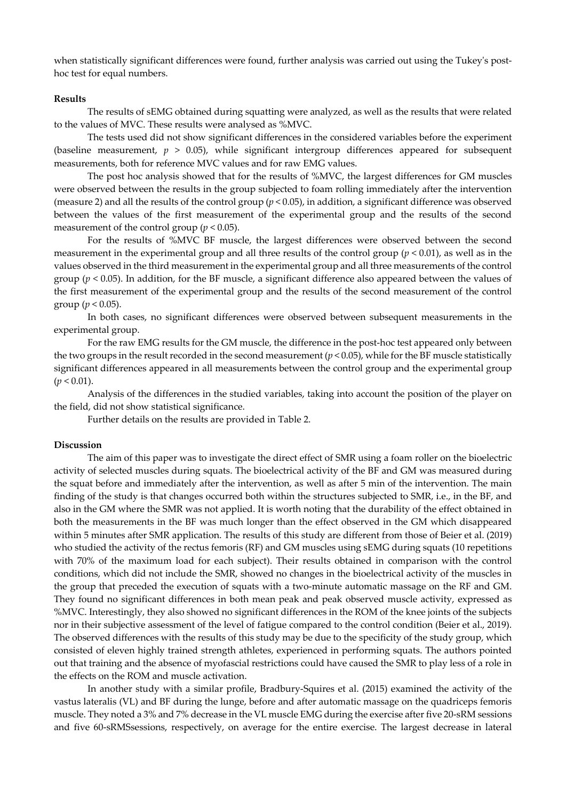when statistically significant differences were found, further analysis was carried out using the Tukey's posthoc test for equal numbers.

## **Results**

The results of sEMG obtained during squatting were analyzed, as well as the results that were related to the values of MVC. These results were analysed as %MVC.

The tests used did not show significant differences in the considered variables before the experiment (baseline measurement,  $p > 0.05$ ), while significant intergroup differences appeared for subsequent measurements, both for reference MVC values and for raw EMG values.

The post hoc analysis showed that for the results of %MVC, the largest differences for GM muscles were observed between the results in the group subjected to foam rolling immediately after the intervention (measure 2) and all the results of the control group (*p* < 0.05), in addition, a significant difference was observed between the values of the first measurement of the experimental group and the results of the second measurement of the control group ( $p < 0.05$ ).

For the results of %MVC BF muscle, the largest differences were observed between the second measurement in the experimental group and all three results of the control group (*p* < 0.01), as well as in the values observed in the third measurement in the experimental group and all three measurements of the control group (*p* < 0.05). In addition, for the BF muscle, a significant difference also appeared between the values of the first measurement of the experimental group and the results of the second measurement of the control group ( $p < 0.05$ ).

In both cases, no significant differences were observed between subsequent measurements in the experimental group.

For the raw EMG results for the GM muscle, the difference in the post-hoc test appeared only between the two groups in the result recorded in the second measurement  $(p < 0.05)$ , while for the BF muscle statistically significant differences appeared in all measurements between the control group and the experimental group  $(p < 0.01)$ .

Analysis of the differences in the studied variables, taking into account the position of the player on the field, did not show statistical significance.

Further details on the results are provided in Table 2.

#### **Discussion**

The aim of this paper was to investigate the direct effect of SMR using a foam roller on the bioelectric activity of selected muscles during squats. The bioelectrical activity of the BF and GM was measured during the squat before and immediately after the intervention, as well as after 5 min of the intervention. The main finding of the study is that changes occurred both within the structures subjected to SMR, i.e., in the BF, and also in the GM where the SMR was not applied. It is worth noting that the durability of the effect obtained in both the measurements in the BF was much longer than the effect observed in the GM which disappeared within 5 minutes after SMR application. The results of this study are different from those of Beier et al. (2019) who studied the activity of the rectus femoris (RF) and GM muscles using sEMG during squats (10 repetitions with 70% of the maximum load for each subject). Their results obtained in comparison with the control conditions, which did not include the SMR, showed no changes in the bioelectrical activity of the muscles in the group that preceded the execution of squats with a two-minute automatic massage on the RF and GM. They found no significant differences in both mean peak and peak observed muscle activity, expressed as %MVC. Interestingly, they also showed no significant differences in the ROM of the knee joints of the subjects nor in their subjective assessment of the level of fatigue compared to the control condition (Beier et al., 2019). The observed differences with the results of this study may be due to the specificity of the study group, which consisted of eleven highly trained strength athletes, experienced in performing squats. The authors pointed out that training and the absence of myofascial restrictions could have caused the SMR to play less of a role in the effects on the ROM and muscle activation.

In another study with a similar profile, Bradbury-Squires et al. (2015) examined the activity of the vastus lateralis (VL) and BF during the lunge, before and after automatic massage on the quadriceps femoris muscle. They noted a 3% and 7% decrease in the VL muscle EMG during the exercise after five 20-sRM sessions and five 60-sRMSsessions, respectively, on average for the entire exercise. The largest decrease in lateral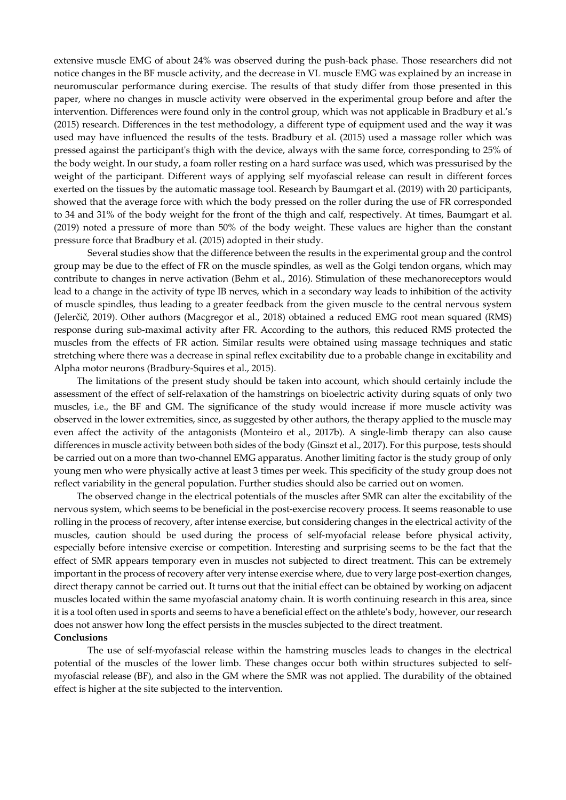extensive muscle EMG of about 24% was observed during the push-back phase. Those researchers did not notice changes in the BF muscle activity, and the decrease in VL muscle EMG was explained by an increase in neuromuscular performance during exercise. The results of that study differ from those presented in this paper, where no changes in muscle activity were observed in the experimental group before and after the intervention. Differences were found only in the control group, which was not applicable in Bradbury et al.'s (2015) research. Differences in the test methodology, a different type of equipment used and the way it was used may have influenced the results of the tests. Bradbury et al. (2015) used a massage roller which was pressed against the participant's thigh with the device, always with the same force, corresponding to 25% of the body weight. In our study, a foam roller resting on a hard surface was used, which was pressurised by the weight of the participant. Different ways of applying self myofascial release can result in different forces exerted on the tissues by the automatic massage tool. Research by Baumgart et al. (2019) with 20 participants, showed that the average force with which the body pressed on the roller during the use of FR corresponded to 34 and 31% of the body weight for the front of the thigh and calf, respectively. At times, Baumgart et al. (2019) noted a pressure of more than 50% of the body weight. These values are higher than the constant pressure force that Bradbury et al. (2015) adopted in their study.

Several studies show that the difference between the results in the experimental group and the control group may be due to the effect of FR on the muscle spindles, as well as the Golgi tendon organs, which may contribute to changes in nerve activation (Behm et al., 2016). Stimulation of these mechanoreceptors would lead to a change in the activity of type IB nerves, which in a secondary way leads to inhibition of the activity of muscle spindles, thus leading to a greater feedback from the given muscle to the central nervous system (Jelerčič, 2019). Other authors (Macgregor et al., 2018) obtained a reduced EMG root mean squared (RMS) response during sub-maximal activity after FR. According to the authors, this reduced RMS protected the muscles from the effects of FR action. Similar results were obtained using massage techniques and static stretching where there was a decrease in spinal reflex excitability due to a probable change in excitability and Alpha motor neurons (Bradbury-Squires et al., 2015).

The limitations of the present study should be taken into account, which should certainly include the assessment of the effect of self-relaxation of the hamstrings on bioelectric activity during squats of only two muscles, i.e., the BF and GM. The significance of the study would increase if more muscle activity was observed in the lower extremities, since, as suggested by other authors, the therapy applied to the muscle may even affect the activity of the antagonists (Monteiro et al., 2017b). A single-limb therapy can also cause differences in muscle activity between both sides of the body (Ginszt et al., 2017). For this purpose, tests should be carried out on a more than two-channel EMG apparatus. Another limiting factor is the study group of only young men who were physically active at least 3 times per week. This specificity of the study group does not reflect variability in the general population. Further studies should also be carried out on women.

The observed change in the electrical potentials of the muscles after SMR can alter the excitability of the nervous system, which seems to be beneficial in the post-exercise recovery process. It seems reasonable to use rolling in the process of recovery, after intense exercise, but considering changes in the electrical activity of the muscles, caution should be used during the process of self-myofacial release before physical activity, especially before intensive exercise or competition. Interesting and surprising seems to be the fact that the effect of SMR appears temporary even in muscles not subjected to direct treatment. This can be extremely important in the process of recovery after very intense exercise where, due to very large post-exertion changes, direct therapy cannot be carried out. It turns out that the initial effect can be obtained by working on adjacent muscles located within the same myofascial anatomy chain. It is worth continuing research in this area, since it is a tool often used in sports and seems to have a beneficial effect on the athlete's body, however, our research does not answer how long the effect persists in the muscles subjected to the direct treatment. **Conclusions** 

The use of self-myofascial release within the hamstring muscles leads to changes in the electrical potential of the muscles of the lower limb. These changes occur both within structures subjected to selfmyofascial release (BF), and also in the GM where the SMR was not applied. The durability of the obtained effect is higher at the site subjected to the intervention.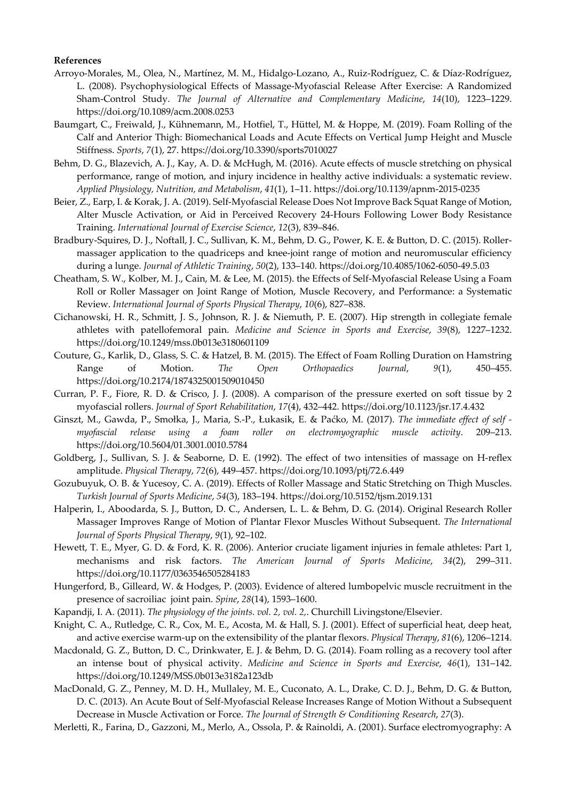## **References**

- Arroyo-Morales, M., Olea, N., Martínez, M. M., Hidalgo-Lozano, A., Ruiz-Rodríguez, C. & Díaz-Rodríguez, L. (2008). Psychophysiological Effects of Massage-Myofascial Release After Exercise: A Randomized Sham-Control Study. *The Journal of Alternative and Complementary Medicine*, *14*(10), 1223–1229. https://doi.org/10.1089/acm.2008.0253
- Baumgart, C., Freiwald, J., Kühnemann, M., Hotfiel, T., Hüttel, M. & Hoppe, M. (2019). Foam Rolling of the Calf and Anterior Thigh: Biomechanical Loads and Acute Effects on Vertical Jump Height and Muscle Stiffness. *Sports*, *7*(1), 27. https://doi.org/10.3390/sports7010027
- Behm, D. G., Blazevich, A. J., Kay, A. D. & McHugh, M. (2016). Acute effects of muscle stretching on physical performance, range of motion, and injury incidence in healthy active individuals: a systematic review. *Applied Physiology, Nutrition, and Metabolism*, *41*(1), 1–11. https://doi.org/10.1139/apnm-2015-0235
- Beier, Z., Earp, I. & Korak, J. A. (2019). Self-Myofascial Release Does Not Improve Back Squat Range of Motion, Alter Muscle Activation, or Aid in Perceived Recovery 24-Hours Following Lower Body Resistance Training. *International Journal of Exercise Science*, *12*(3), 839–846.
- Bradbury-Squires, D. J., Noftall, J. C., Sullivan, K. M., Behm, D. G., Power, K. E. & Button, D. C. (2015). Rollermassager application to the quadriceps and knee-joint range of motion and neuromuscular efficiency during a lunge. *Journal of Athletic Training*, *50*(2), 133–140. https://doi.org/10.4085/1062-6050-49.5.03
- Cheatham, S. W., Kolber, M. J., Cain, M. & Lee, M. (2015). the Effects of Self-Myofascial Release Using a Foam Roll or Roller Massager on Joint Range of Motion, Muscle Recovery, and Performance: a Systematic Review. *International Journal of Sports Physical Therapy*, *10*(6), 827–838.
- Cichanowski, H. R., Schmitt, J. S., Johnson, R. J. & Niemuth, P. E. (2007). Hip strength in collegiate female athletes with patellofemoral pain. *Medicine and Science in Sports and Exercise*, *39*(8), 1227–1232. https://doi.org/10.1249/mss.0b013e3180601109
- Couture, G., Karlik, D., Glass, S. C. & Hatzel, B. M. (2015). The Effect of Foam Rolling Duration on Hamstring Range of Motion. *The Open Orthopaedics Journal*, *9*(1), 450–455. https://doi.org/10.2174/1874325001509010450
- Curran, P. F., Fiore, R. D. & Crisco, J. J. (2008). A comparison of the pressure exerted on soft tissue by 2 myofascial rollers. *Journal of Sport Rehabilitation*, *17*(4), 432–442. https://doi.org/10.1123/jsr.17.4.432
- Ginszt, M., Gawda, P., Smołka, J., Maria, S.-P., Łukasik, E. & Paćko, M. (2017). *The immediate effect of self myofascial release using a foam roller on electromyographic muscle activity*. 209–213. https://doi.org/10.5604/01.3001.0010.5784
- Goldberg, J., Sullivan, S. J. & Seaborne, D. E. (1992). The effect of two intensities of massage on H-reflex amplitude. *Physical Therapy*, *72*(6), 449–457. https://doi.org/10.1093/ptj/72.6.449
- Gozubuyuk, O. B. & Yucesoy, C. A. (2019). Effects of Roller Massage and Static Stretching on Thigh Muscles. *Turkish Journal of Sports Medicine*, *54*(3), 183–194. https://doi.org/10.5152/tjsm.2019.131
- Halperin, I., Aboodarda, S. J., Button, D. C., Andersen, L. L. & Behm, D. G. (2014). Original Research Roller Massager Improves Range of Motion of Plantar Flexor Muscles Without Subsequent. *The International Journal of Sports Physical Therapy*, *9*(1), 92–102.
- Hewett, T. E., Myer, G. D. & Ford, K. R. (2006). Anterior cruciate ligament injuries in female athletes: Part 1, mechanisms and risk factors. *The American Journal of Sports Medicine*, *34*(2), 299–311. https://doi.org/10.1177/0363546505284183
- Hungerford, B., Gilleard, W. & Hodges, P. (2003). Evidence of altered lumbopelvic muscle recruitment in the presence of sacroiliac joint pain. *Spine*, *28*(14), 1593–1600.
- Kapandji, I. A. (2011). *The physiology of the joints. vol. 2, vol. 2,*. Churchill Livingstone/Elsevier.
- Knight, C. A., Rutledge, C. R., Cox, M. E., Acosta, M. & Hall, S. J. (2001). Effect of superficial heat, deep heat, and active exercise warm-up on the extensibility of the plantar flexors. *Physical Therapy*, *81*(6), 1206–1214.
- Macdonald, G. Z., Button, D. C., Drinkwater, E. J. & Behm, D. G. (2014). Foam rolling as a recovery tool after an intense bout of physical activity. *Medicine and Science in Sports and Exercise*, *46*(1), 131–142. https://doi.org/10.1249/MSS.0b013e3182a123db
- MacDonald, G. Z., Penney, M. D. H., Mullaley, M. E., Cuconato, A. L., Drake, C. D. J., Behm, D. G. & Button, D. C. (2013). An Acute Bout of Self-Myofascial Release Increases Range of Motion Without a Subsequent Decrease in Muscle Activation or Force. *The Journal of Strength & Conditioning Research*, *27*(3).
- Merletti, R., Farina, D., Gazzoni, M., Merlo, A., Ossola, P. & Rainoldi, A. (2001). Surface electromyography: A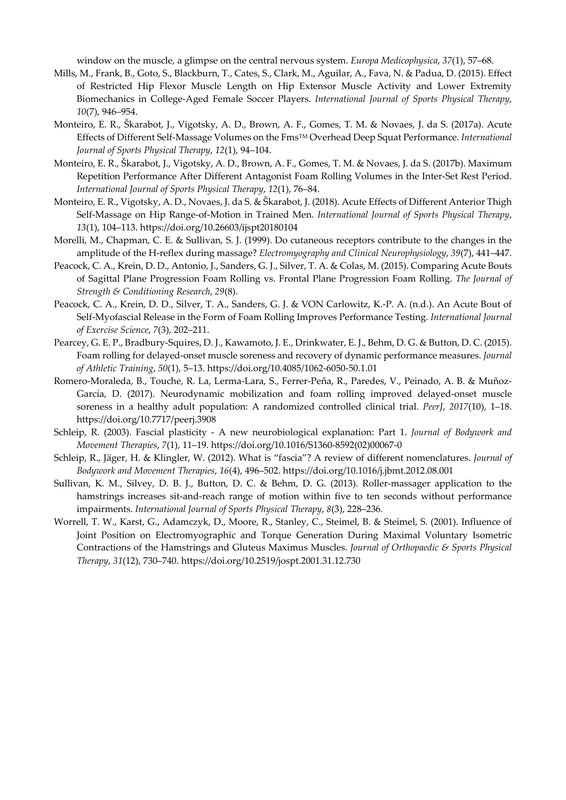window on the muscle, a glimpse on the central nervous system. *Europa Medicophysica*, *37*(1), 57–68.

- Mills, M., Frank, B., Goto, S., Blackburn, T., Cates, S., Clark, M., Aguilar, A., Fava, N. & Padua, D. (2015). Effect of Restricted Hip Flexor Muscle Length on Hip Extensor Muscle Activity and Lower Extremity Biomechanics in College-Aged Female Soccer Players. *International Journal of Sports Physical Therapy*, *10*(7), 946–954.
- Monteiro, E. R., Škarabot, J., Vigotsky, A. D., Brown, A. F., Gomes, T. M. & Novaes, J. da S. (2017a). Acute Effects of Different Self-Massage Volumes on the FmsTM Overhead Deep Squat Performance. *International Journal of Sports Physical Therapy*, *12*(1), 94–104.
- Monteiro, E. R., Škarabot, J., Vigotsky, A. D., Brown, A. F., Gomes, T. M. & Novaes, J. da S. (2017b). Maximum Repetition Performance After Different Antagonist Foam Rolling Volumes in the Inter-Set Rest Period. *International Journal of Sports Physical Therapy*, *12*(1), 76–84.
- Monteiro, E. R., Vigotsky, A. D., Novaes, J. da S. & Škarabot, J. (2018). Acute Effects of Different Anterior Thigh Self-Massage on Hip Range-of-Motion in Trained Men. *International Journal of Sports Physical Therapy*, *13*(1), 104–113. https://doi.org/10.26603/ijspt20180104
- Morelli, M., Chapman, C. E. & Sullivan, S. J. (1999). Do cutaneous receptors contribute to the changes in the amplitude of the H-reflex during massage? *Electromyography and Clinical Neurophysiology*, *39*(7), 441–447.
- Peacock, C. A., Krein, D. D., Antonio, J., Sanders, G. J., Silver, T. A. & Colas, M. (2015). Comparing Acute Bouts of Sagittal Plane Progression Foam Rolling vs. Frontal Plane Progression Foam Rolling. *The Journal of Strength & Conditioning Research*, *29*(8).
- Peacock, C. A., Krein, D. D., Silver, T. A., Sanders, G. J. & VON Carlowitz, K.-P. A. (n.d.). An Acute Bout of Self-Myofascial Release in the Form of Foam Rolling Improves Performance Testing. *International Journal of Exercise Science*, *7*(3), 202–211.
- Pearcey, G. E. P., Bradbury-Squires, D. J., Kawamoto, J. E., Drinkwater, E. J., Behm, D. G. & Button, D. C. (2015). Foam rolling for delayed-onset muscle soreness and recovery of dynamic performance measures. *Journal of Athletic Training*, *50*(1), 5–13. https://doi.org/10.4085/1062-6050-50.1.01
- Romero-Moraleda, B., Touche, R. La, Lerma-Lara, S., Ferrer-Peña, R., Paredes, V., Peinado, A. B. & Muñoz-García, D. (2017). Neurodynamic mobilization and foam rolling improved delayed-onset muscle soreness in a healthy adult population: A randomized controlled clinical trial. *PeerJ*, *2017*(10), 1–18. https://doi.org/10.7717/peerj.3908
- Schleip, R. (2003). Fascial plasticity A new neurobiological explanation: Part 1. *Journal of Bodywork and Movement Therapies*, *7*(1), 11–19. https://doi.org/10.1016/S1360-8592(02)00067-0
- Schleip, R., Jäger, H. & Klingler, W. (2012). What is "fascia"? A review of different nomenclatures. *Journal of Bodywork and Movement Therapies*, *16*(4), 496–502. https://doi.org/10.1016/j.jbmt.2012.08.001
- Sullivan, K. M., Silvey, D. B. J., Button, D. C. & Behm, D. G. (2013). Roller-massager application to the hamstrings increases sit-and-reach range of motion within five to ten seconds without performance impairments. *International Journal of Sports Physical Therapy*, *8*(3), 228–236.
- Worrell, T. W., Karst, G., Adamczyk, D., Moore, R., Stanley, C., Steimel, B. & Steimel, S. (2001). Influence of Joint Position on Electromyographic and Torque Generation During Maximal Voluntary Isometric Contractions of the Hamstrings and Gluteus Maximus Muscles. *Journal of Orthopaedic & Sports Physical Therapy*, *31*(12), 730–740. https://doi.org/10.2519/jospt.2001.31.12.730